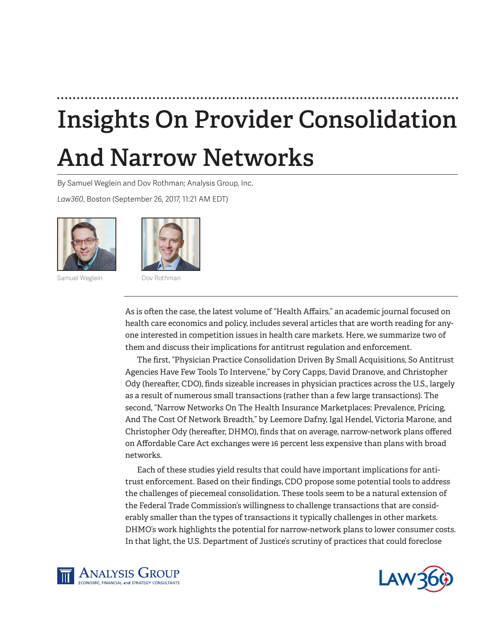# **Insights On Provider Consolidation**

# **And Narrow Networks**

By Samuel Weglein and Dov Rothman; Analysis Group, Inc.

*Law360*, Boston (September 26, 2017, 11:21 AM EDT)



Samuel Weglein Dov Rothman



As is often the case, the latest volume of "Health Affairs," an academic journal focused on health care economics and policy, includes several articles that are worth reading for anyone interested in competition issues in health care markets. Here, we summarize two of them and discuss their implications for antitrust regulation and enforcement.

The first, "Physician Practice Consolidation Driven By Small Acquisitions, So Antitrust Agencies Have Few Tools To Intervene," by Cory Capps, David Dranove, and Christopher Ody (hereafter, CDO), finds sizeable increases in physician practices across the U.S., largely as a result of numerous small transactions (rather than a few large transactions). The second, "Narrow Networks On The Health Insurance Marketplaces: Prevalence, Pricing, And The Cost Of Network Breadth," by Leemore Dafny, Igal Hendel, Victoria Marone, and Christopher Ody (hereafter, DHMO), finds that on average, narrow-network plans offered on Affordable Care Act exchanges were 16 percent less expensive than plans with broad networks.

Each of these studies yield results that could have important implications for antitrust enforcement. Based on their findings, CDO propose some potential tools to address the challenges of piecemeal consolidation. These tools seem to be a natural extension of the Federal Trade Commission's willingness to challenge transactions that are considerably smaller than the types of transactions it typically challenges in other markets. DHMO's work highlights the potential for narrow-network plans to lower consumer costs. In that light, the U.S. Department of Justice's scrutiny of practices that could foreclose



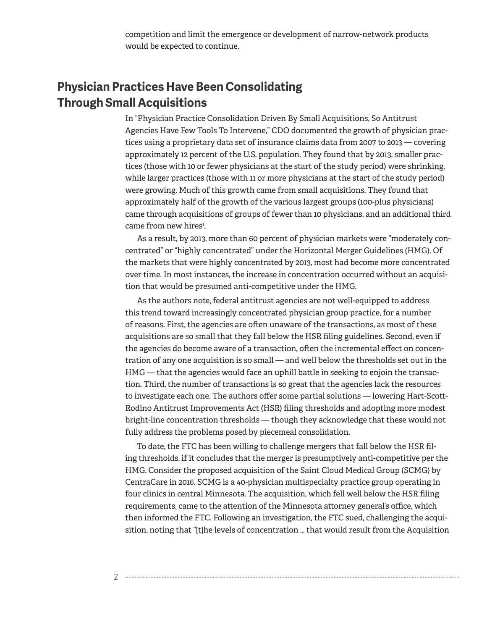competition and limit the emergence or development of narrow-network products would be expected to continue.

# **Physician Practices Have Been Consolidating Through Small Acquisitions**

In "Physician Practice Consolidation Driven By Small Acquisitions, So Antitrust Agencies Have Few Tools To Intervene," CDO documented the growth of physician practices using a proprietary data set of insurance claims data from 2007 to 2013 — covering approximately 12 percent of the U.S. population. They found that by 2013, smaller practices (those with 10 or fewer physicians at the start of the study period) were shrinking, while larger practices (those with 11 or more physicians at the start of the study period) were growing. Much of this growth came from small acquisitions. They found that approximately half of the growth of the various largest groups (100-plus physicians) came through acquisitions of groups of fewer than 10 physicians, and an additional third came from new hires<sup>1</sup>.

As a result, by 2013, more than 60 percent of physician markets were "moderately concentrated" or "highly concentrated" under the Horizontal Merger Guidelines (HMG). Of the markets that were highly concentrated by 2013, most had become more concentrated over time. In most instances, the increase in concentration occurred without an acquisition that would be presumed anti-competitive under the HMG.

As the authors note, federal antitrust agencies are not well-equipped to address this trend toward increasingly concentrated physician group practice, for a number of reasons. First, the agencies are often unaware of the transactions, as most of these acquisitions are so small that they fall below the HSR filing guidelines. Second, even if the agencies do become aware of a transaction, often the incremental effect on concentration of any one acquisition is so small — and well below the thresholds set out in the HMG — that the agencies would face an uphill battle in seeking to enjoin the transaction. Third, the number of transactions is so great that the agencies lack the resources to investigate each one. The authors offer some partial solutions — lowering Hart-Scott-Rodino Antitrust Improvements Act (HSR) filing thresholds and adopting more modest bright-line concentration thresholds — though they acknowledge that these would not fully address the problems posed by piecemeal consolidation.

To date, the FTC has been willing to challenge mergers that fall below the HSR filing thresholds, if it concludes that the merger is presumptively anti-competitive per the HMG. Consider the proposed acquisition of the Saint Cloud Medical Group (SCMG) by CentraCare in 2016. SCMG is a 40-physician multispecialty practice group operating in four clinics in central Minnesota. The acquisition, which fell well below the HSR filing requirements, came to the attention of the Minnesota attorney general's office, which then informed the FTC. Following an investigation, the FTC sued, challenging the acquisition, noting that "[t]he levels of concentration … that would result from the Acquisition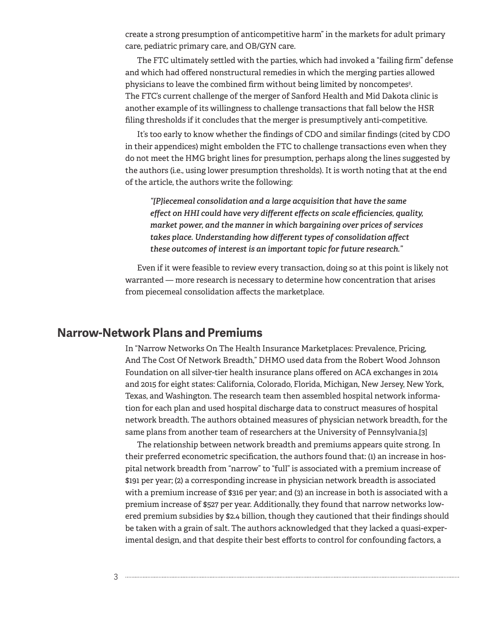create a strong presumption of anticompetitive harm" in the markets for adult primary care, pediatric primary care, and OB/GYN care.

The FTC ultimately settled with the parties, which had invoked a "failing firm" defense and which had offered nonstructural remedies in which the merging parties allowed physicians to leave the combined firm without being limited by noncompetes<sup>2</sup>. The FTC's current challenge of the merger of Sanford Health and Mid Dakota clinic is another example of its willingness to challenge transactions that fall below the HSR filing thresholds if it concludes that the merger is presumptively anti-competitive.

It's too early to know whether the findings of CDO and similar findings (cited by CDO in their appendices) might embolden the FTC to challenge transactions even when they do not meet the HMG bright lines for presumption, perhaps along the lines suggested by the authors (i.e., using lower presumption thresholds). It is worth noting that at the end of the article, the authors write the following:

*"[P]iecemeal consolidation and a large acquisition that have the same effect on HHI could have very different effects on scale efficiencies, quality, market power, and the manner in which bargaining over prices of services takes place. Understanding how different types of consolidation affect these outcomes of interest is an important topic for future research."*

Even if it were feasible to review every transaction, doing so at this point is likely not warranted — more research is necessary to determine how concentration that arises from piecemeal consolidation affects the marketplace.

#### **Narrow-Network Plans and Premiums**

In "Narrow Networks On The Health Insurance Marketplaces: Prevalence, Pricing, And The Cost Of Network Breadth," DHMO used data from the Robert Wood Johnson Foundation on all silver-tier health insurance plans offered on ACA exchanges in 2014 and 2015 for eight states: California, Colorado, Florida, Michigan, New Jersey, New York, Texas, and Washington. The research team then assembled hospital network information for each plan and used hospital discharge data to construct measures of hospital network breadth. The authors obtained measures of physician network breadth, for the same plans from another team of researchers at the University of Pennsylvania.[3]

The relationship between network breadth and premiums appears quite strong. In their preferred econometric specification, the authors found that: (1) an increase in hospital network breadth from "narrow" to "full" is associated with a premium increase of \$191 per year; (2) a corresponding increase in physician network breadth is associated with a premium increase of \$316 per year; and (3) an increase in both is associated with a premium increase of \$527 per year. Additionally, they found that narrow networks lowered premium subsidies by \$2.4 billion, though they cautioned that their findings should be taken with a grain of salt. The authors acknowledged that they lacked a quasi-experimental design, and that despite their best efforts to control for confounding factors, a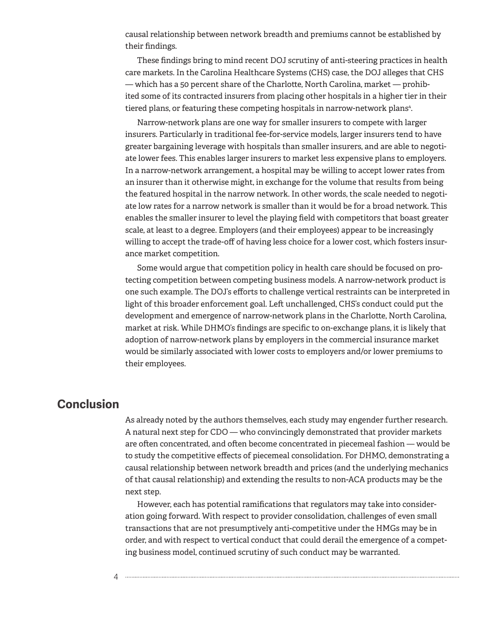causal relationship between network breadth and premiums cannot be established by their findings.

These findings bring to mind recent DOJ scrutiny of anti-steering practices in health care markets. In the Carolina Healthcare Systems (CHS) case, the DOJ alleges that CHS — which has a 50 percent share of the Charlotte, North Carolina, market — prohibited some of its contracted insurers from placing other hospitals in a higher tier in their tiered plans, or featuring these competing hospitals in narrow-network plans<sup>4</sup>.

Narrow-network plans are one way for smaller insurers to compete with larger insurers. Particularly in traditional fee-for-service models, larger insurers tend to have greater bargaining leverage with hospitals than smaller insurers, and are able to negotiate lower fees. This enables larger insurers to market less expensive plans to employers. In a narrow-network arrangement, a hospital may be willing to accept lower rates from an insurer than it otherwise might, in exchange for the volume that results from being the featured hospital in the narrow network. In other words, the scale needed to negotiate low rates for a narrow network is smaller than it would be for a broad network. This enables the smaller insurer to level the playing field with competitors that boast greater scale, at least to a degree. Employers (and their employees) appear to be increasingly willing to accept the trade-off of having less choice for a lower cost, which fosters insurance market competition.

Some would argue that competition policy in health care should be focused on protecting competition between competing business models. A narrow-network product is one such example. The DOJ's efforts to challenge vertical restraints can be interpreted in light of this broader enforcement goal. Left unchallenged, CHS's conduct could put the development and emergence of narrow-network plans in the Charlotte, North Carolina, market at risk. While DHMO's findings are specific to on-exchange plans, it is likely that adoption of narrow-network plans by employers in the commercial insurance market would be similarly associated with lower costs to employers and/or lower premiums to their employees.

## **Conclusion**

As already noted by the authors themselves, each study may engender further research. A natural next step for CDO — who convincingly demonstrated that provider markets are often concentrated, and often become concentrated in piecemeal fashion — would be to study the competitive effects of piecemeal consolidation. For DHMO, demonstrating a causal relationship between network breadth and prices (and the underlying mechanics of that causal relationship) and extending the results to non-ACA products may be the next step.

However, each has potential ramifications that regulators may take into consideration going forward. With respect to provider consolidation, challenges of even small transactions that are not presumptively anti-competitive under the HMGs may be in order, and with respect to vertical conduct that could derail the emergence of a competing business model, continued scrutiny of such conduct may be warranted.